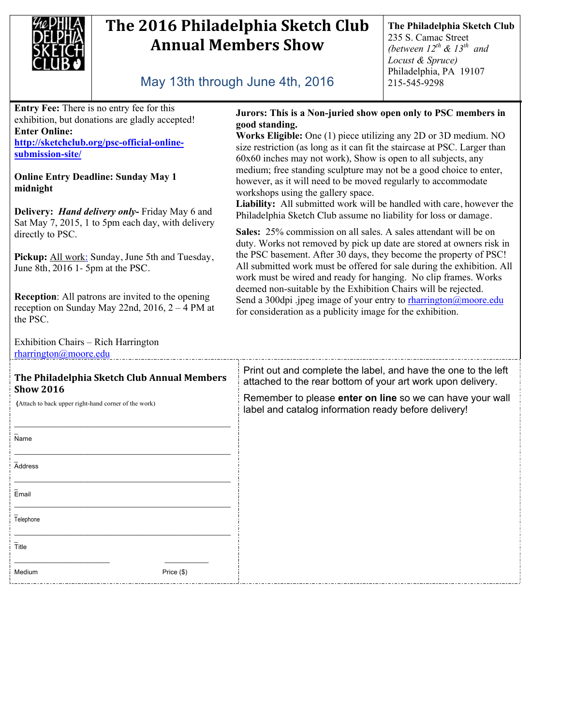

## The 2016 Philadelphia Sketch Club **Annual Members Show**

**The Philadelphia Sketch Club** 235 S. Camac Street *(between 12th & 13th and Locust & Spruce)* Philadelphia, PA 19107 215-545-9298

## May 13th through June 4th, 2016

**Entry Fee:** There is no entry fee for this exhibition, but donations are gladly accepted! **Enter Online: http://sketchclub.org/psc-official-online-**

**submission-site/**

## **Online Entry Deadline: Sunday May 1 midnight**

**Delivery:** *Hand delivery only***-** Friday May 6 and Sat May 7, 2015, 1 to 5pm each day, with delivery directly to PSC.

Pickup: All work: Sunday, June 5th and Tuesday, June 8th, 2016 1- 5pm at the PSC.

**Reception**: All patrons are invited to the opening reception on Sunday May 22nd,  $2016$ ,  $2 - 4$  PM at the PSC.

Exhibition Chairs – Rich Harrington rharrington@moore.edu

## **The Philadelphia Sketch Club Annual Members Show 2016**

 **(**Attach to back upper right-hand corner of the work)

| $\overline{\mathsf{Name}}$                  |            |
|---------------------------------------------|------------|
| <b>Address</b>                              |            |
| Email                                       |            |
| $\overline{\overline{\mathsf{T}}}$ elephone |            |
| $\bar{T}$ itle                              |            |
| Medium                                      | Price (\$) |

**Jurors: This is a Non-juried show open only to PSC members in good standing.**

**Works Eligible:** One (1) piece utilizing any 2D or 3D medium. NO size restriction (as long as it can fit the staircase at PSC. Larger than 60x60 inches may not work), Show is open to all subjects, any medium; free standing sculpture may not be a good choice to enter, however, as it will need to be moved regularly to accommodate workshops using the gallery space.

**Liability:** All submitted work will be handled with care, however the Philadelphia Sketch Club assume no liability for loss or damage.

**Sales:** 25% commission on all sales. A sales attendant will be on duty. Works not removed by pick up date are stored at owners risk in the PSC basement. After 30 days, they become the property of PSC! All submitted work must be offered for sale during the exhibition. All work must be wired and ready for hanging. No clip frames. Works deemed non-suitable by the Exhibition Chairs will be rejected. Send a 300dpi .jpeg image of your entry to rharrington@moore.edu for consideration as a publicity image for the exhibition.

Print out and complete the label, and have the one to the left attached to the rear bottom of your art work upon delivery.

Remember to please **enter on line** so we can have your wall label and catalog information ready before delivery!